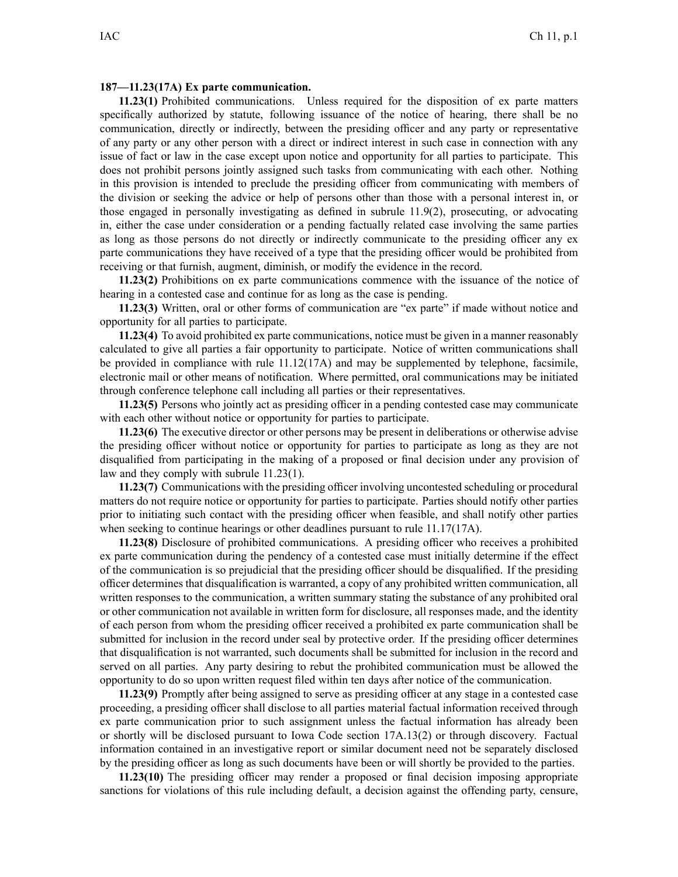## **187—11.23(17A) Ex parte communication.**

**11.23(1)** Prohibited communications. Unless required for the disposition of ex parte matters specifically authorized by statute, following issuance of the notice of hearing, there shall be no communication, directly or indirectly, between the presiding officer and any party or representative of any party or any other person with <sup>a</sup> direct or indirect interest in such case in connection with any issue of fact or law in the case excep<sup>t</sup> upon notice and opportunity for all parties to participate. This does not prohibit persons jointly assigned such tasks from communicating with each other. Nothing in this provision is intended to preclude the presiding officer from communicating with members of the division or seeking the advice or help of persons other than those with <sup>a</sup> personal interest in, or those engaged in personally investigating as defined in subrule 11.9(2), prosecuting, or advocating in, either the case under consideration or <sup>a</sup> pending factually related case involving the same parties as long as those persons do not directly or indirectly communicate to the presiding officer any ex parte communications they have received of <sup>a</sup> type that the presiding officer would be prohibited from receiving or that furnish, augment, diminish, or modify the evidence in the record.

**11.23(2)** Prohibitions on ex parte communications commence with the issuance of the notice of hearing in <sup>a</sup> contested case and continue for as long as the case is pending.

**11.23(3)** Written, oral or other forms of communication are "ex parte" if made without notice and opportunity for all parties to participate.

**11.23(4)** To avoid prohibited ex parte communications, notice must be given in <sup>a</sup> manner reasonably calculated to give all parties <sup>a</sup> fair opportunity to participate. Notice of written communications shall be provided in compliance with rule 11.12(17A) and may be supplemented by telephone, facsimile, electronic mail or other means of notification. Where permitted, oral communications may be initiated through conference telephone call including all parties or their representatives.

**11.23(5)** Persons who jointly act as presiding officer in <sup>a</sup> pending contested case may communicate with each other without notice or opportunity for parties to participate.

**11.23(6)** The executive director or other persons may be presen<sup>t</sup> in deliberations or otherwise advise the presiding officer without notice or opportunity for parties to participate as long as they are not disqualified from participating in the making of <sup>a</sup> proposed or final decision under any provision of law and they comply with subrule 11.23(1).

**11.23(7)** Communications with the presiding officer involving uncontested scheduling or procedural matters do not require notice or opportunity for parties to participate. Parties should notify other parties prior to initiating such contact with the presiding officer when feasible, and shall notify other parties when seeking to continue hearings or other deadlines pursuant to rule 11.17(17A).

**11.23(8)** Disclosure of prohibited communications. A presiding officer who receives <sup>a</sup> prohibited ex parte communication during the pendency of <sup>a</sup> contested case must initially determine if the effect of the communication is so prejudicial that the presiding officer should be disqualified. If the presiding officer determines that disqualification is warranted, <sup>a</sup> copy of any prohibited written communication, all written responses to the communication, <sup>a</sup> written summary stating the substance of any prohibited oral or other communication not available in written form for disclosure, all responses made, and the identity of each person from whom the presiding officer received <sup>a</sup> prohibited ex parte communication shall be submitted for inclusion in the record under seal by protective order. If the presiding officer determines that disqualification is not warranted, such documents shall be submitted for inclusion in the record and served on all parties. Any party desiring to rebut the prohibited communication must be allowed the opportunity to do so upon written reques<sup>t</sup> filed within ten days after notice of the communication.

**11.23(9)** Promptly after being assigned to serve as presiding officer at any stage in <sup>a</sup> contested case proceeding, <sup>a</sup> presiding officer shall disclose to all parties material factual information received through ex parte communication prior to such assignment unless the factual information has already been or shortly will be disclosed pursuan<sup>t</sup> to Iowa Code section 17A.13(2) or through discovery. Factual information contained in an investigative repor<sup>t</sup> or similar document need not be separately disclosed by the presiding officer as long as such documents have been or will shortly be provided to the parties.

**11.23(10)** The presiding officer may render <sup>a</sup> proposed or final decision imposing appropriate sanctions for violations of this rule including default, <sup>a</sup> decision against the offending party, censure,